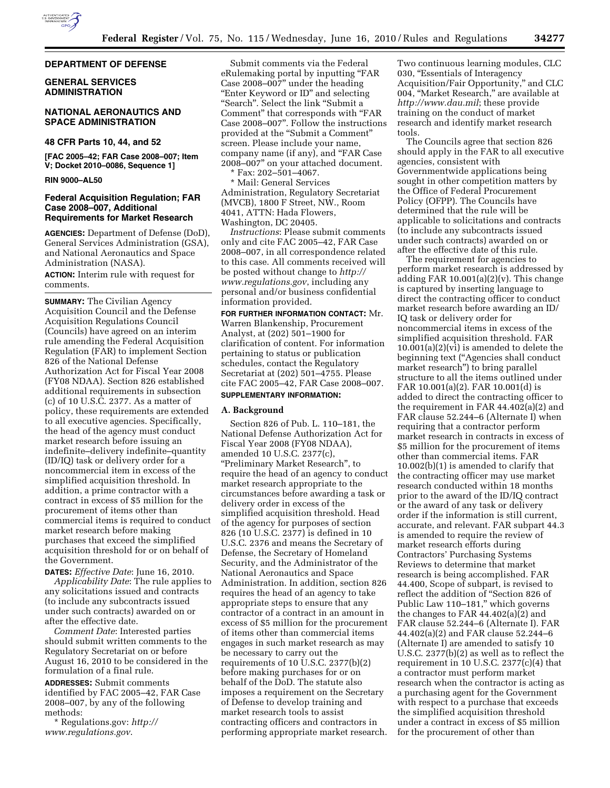

### **DEPARTMENT OF DEFENSE**

## **GENERAL SERVICES ADMINISTRATION**

### **NATIONAL AERONAUTICS AND SPACE ADMINISTRATION**

# **48 CFR Parts 10, 44, and 52**

**[FAC 2005–42; FAR Case 2008–007; Item V; Docket 2010–0086, Sequence 1]** 

### **RIN 9000–AL50**

### **Federal Acquisition Regulation; FAR Case 2008–007, Additional Requirements for Market Research**

**AGENCIES:** Department of Defense (DoD), General Services Administration (GSA), and National Aeronautics and Space Administration (NASA).

**ACTION:** Interim rule with request for comments.

**SUMMARY:** The Civilian Agency Acquisition Council and the Defense Acquisition Regulations Council (Councils) have agreed on an interim rule amending the Federal Acquisition Regulation (FAR) to implement Section 826 of the National Defense Authorization Act for Fiscal Year 2008 (FY08 NDAA). Section 826 established additional requirements in subsection (c) of 10 U.S.C. 2377. As a matter of policy, these requirements are extended to all executive agencies. Specifically, the head of the agency must conduct market research before issuing an indefinite–delivery indefinite–quantity (ID/IQ) task or delivery order for a noncommercial item in excess of the simplified acquisition threshold. In addition, a prime contractor with a contract in excess of \$5 million for the procurement of items other than commercial items is required to conduct market research before making purchases that exceed the simplified acquisition threshold for or on behalf of the Government.

**DATES:** *Effective Date*: June 16, 2010. *Applicability Date*: The rule applies to any solicitations issued and contracts (to include any subcontracts issued under such contracts) awarded on or after the effective date.

*Comment Date*: Interested parties should submit written comments to the Regulatory Secretariat on or before August 16, 2010 to be considered in the formulation of a final rule.

**ADDRESSES:** Submit comments identified by FAC 2005–42, FAR Case 2008–007, by any of the following methods:

\* Regulations.gov: *http:// www.regulations.gov*.

Submit comments via the Federal eRulemaking portal by inputting ''FAR Case 2008–007'' under the heading "Enter Keyword or ID" and selecting "Search". Select the link "Submit a Comment'' that corresponds with ''FAR Case 2008–007''. Follow the instructions provided at the ''Submit a Comment'' screen. Please include your name, company name (if any), and ''FAR Case 2008–007'' on your attached document. \* Fax: 202–501–4067.

\* Mail: General Services Administration, Regulatory Secretariat (MVCB), 1800 F Street, NW., Room 4041, ATTN: Hada Flowers, Washington, DC 20405.

*Instructions*: Please submit comments only and cite FAC 2005–42, FAR Case 2008–007, in all correspondence related to this case. All comments received will be posted without change to *http:// www.regulations.gov*, including any personal and/or business confidential information provided.

**FOR FURTHER INFORMATION CONTACT:** Mr. Warren Blankenship, Procurement Analyst, at (202) 501–1900 for clarification of content. For information pertaining to status or publication schedules, contact the Regulatory Secretariat at (202) 501–4755. Please cite FAC 2005–42, FAR Case 2008–007. **SUPPLEMENTARY INFORMATION:** 

#### **A. Background**

Section 826 of Pub. L. 110–181, the National Defense Authorization Act for Fiscal Year 2008 (FY08 NDAA), amended 10 U.S.C. 2377(c), ''Preliminary Market Research'', to require the head of an agency to conduct market research appropriate to the circumstances before awarding a task or delivery order in excess of the simplified acquisition threshold. Head of the agency for purposes of section 826 (10 U.S.C. 2377) is defined in 10 U.S.C. 2376 and means the Secretary of Defense, the Secretary of Homeland Security, and the Administrator of the National Aeronautics and Space Administration. In addition, section 826 requires the head of an agency to take appropriate steps to ensure that any contractor of a contract in an amount in excess of \$5 million for the procurement of items other than commercial items engages in such market research as may be necessary to carry out the requirements of 10 U.S.C. 2377(b)(2) before making purchases for or on behalf of the DoD. The statute also imposes a requirement on the Secretary of Defense to develop training and market research tools to assist contracting officers and contractors in performing appropriate market research.

Two continuous learning modules, CLC 030, ''Essentials of Interagency Acquisition/Fair Opportunity,'' and CLC 004, ''Market Research,'' are available at *http://www.dau.mil*; these provide training on the conduct of market research and identify market research tools.

The Councils agree that section 826 should apply in the FAR to all executive agencies, consistent with Governmentwide applications being sought in other competition matters by the Office of Federal Procurement Policy (OFPP). The Councils have determined that the rule will be applicable to solicitations and contracts (to include any subcontracts issued under such contracts) awarded on or after the effective date of this rule.

The requirement for agencies to perform market research is addressed by adding FAR 10.001(a)(2)(v). This change is captured by inserting language to direct the contracting officer to conduct market research before awarding an ID/ IQ task or delivery order for noncommercial items in excess of the simplified acquisition threshold. FAR  $10.001(a)(2)(vi)$  is amended to delete the beginning text (''Agencies shall conduct market research'') to bring parallel structure to all the items outlined under FAR 10.001(a)(2). FAR 10.001(d) is added to direct the contracting officer to the requirement in FAR 44.402(a)(2) and FAR clause 52.244–6 (Alternate I) when requiring that a contractor perform market research in contracts in excess of \$5 million for the procurement of items other than commercial items. FAR 10.002(b)(1) is amended to clarify that the contracting officer may use market research conducted within 18 months prior to the award of the ID/IQ contract or the award of any task or delivery order if the information is still current, accurate, and relevant. FAR subpart 44.3 is amended to require the review of market research efforts during Contractors' Purchasing Systems Reviews to determine that market research is being accomplished. FAR 44.400, Scope of subpart, is revised to reflect the addition of ''Section 826 of Public Law 110–181,'' which governs the changes to FAR 44.402(a)(2) and FAR clause 52.244–6 (Alternate I). FAR 44.402(a)(2) and FAR clause 52.244–6 (Alternate I) are amended to satisfy 10 U.S.C. 2377(b)(2) as well as to reflect the requirement in 10 U.S.C. 2377(c)(4) that a contractor must perform market research when the contractor is acting as a purchasing agent for the Government with respect to a purchase that exceeds the simplified acquisition threshold under a contract in excess of \$5 million for the procurement of other than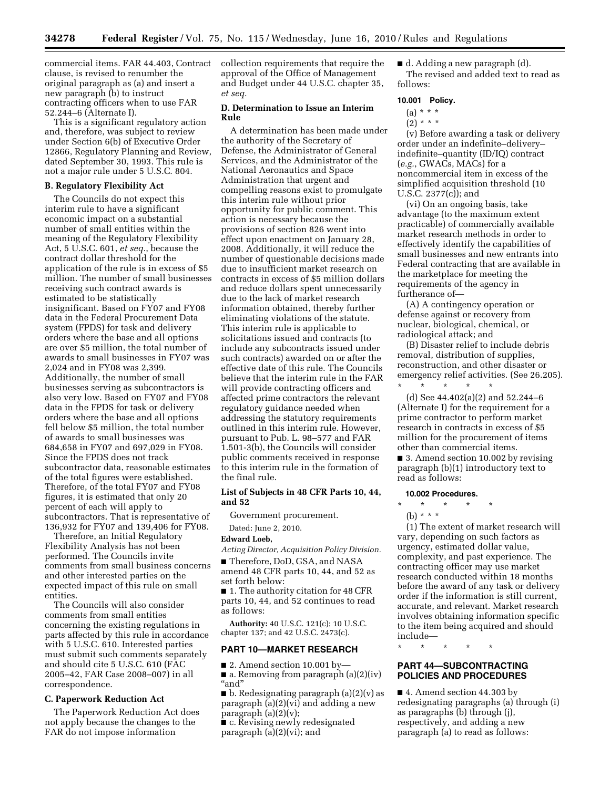commercial items. FAR 44.403, Contract clause, is revised to renumber the original paragraph as (a) and insert a new paragraph (b) to instruct contracting officers when to use FAR 52.244–6 (Alternate I).

This is a significant regulatory action and, therefore, was subject to review under Section 6(b) of Executive Order 12866, Regulatory Planning and Review, dated September 30, 1993. This rule is not a major rule under 5 U.S.C. 804.

### **B. Regulatory Flexibility Act**

The Councils do not expect this interim rule to have a significant economic impact on a substantial number of small entities within the meaning of the Regulatory Flexibility Act, 5 U.S.C. 601, *et seq.*, because the contract dollar threshold for the application of the rule is in excess of \$5 million. The number of small businesses receiving such contract awards is estimated to be statistically insignificant. Based on FY07 and FY08 data in the Federal Procurement Data system (FPDS) for task and delivery orders where the base and all options are over \$5 million, the total number of awards to small businesses in FY07 was 2,024 and in FY08 was 2,399. Additionally, the number of small businesses serving as subcontractors is also very low. Based on FY07 and FY08 data in the FPDS for task or delivery orders where the base and all options fell below \$5 million, the total number of awards to small businesses was 684,658 in FY07 and 697,029 in FY08. Since the FPDS does not track subcontractor data, reasonable estimates of the total figures were established. Therefore, of the total FY07 and FY08 figures, it is estimated that only 20 percent of each will apply to subcontractors. That is representative of 136,932 for FY07 and 139,406 for FY08.

Therefore, an Initial Regulatory Flexibility Analysis has not been performed. The Councils invite comments from small business concerns and other interested parties on the expected impact of this rule on small entities.

The Councils will also consider comments from small entities concerning the existing regulations in parts affected by this rule in accordance with 5 U.S.C. 610. Interested parties must submit such comments separately and should cite 5 U.S.C. 610 (FAC 2005–42, FAR Case 2008–007) in all correspondence.

### **C. Paperwork Reduction Act**

The Paperwork Reduction Act does not apply because the changes to the FAR do not impose information

collection requirements that require the approval of the Office of Management and Budget under 44 U.S.C. chapter 35, *et seq.* 

### **D. Determination to Issue an Interim Rule**

A determination has been made under the authority of the Secretary of Defense, the Administrator of General Services, and the Administrator of the National Aeronautics and Space Administration that urgent and compelling reasons exist to promulgate this interim rule without prior opportunity for public comment. This action is necessary because the provisions of section 826 went into effect upon enactment on January 28, 2008. Additionally, it will reduce the number of questionable decisions made due to insufficient market research on contracts in excess of \$5 million dollars and reduce dollars spent unnecessarily due to the lack of market research information obtained, thereby further eliminating violations of the statute. This interim rule is applicable to solicitations issued and contracts (to include any subcontracts issued under such contracts) awarded on or after the effective date of this rule. The Councils believe that the interim rule in the FAR will provide contracting officers and affected prime contractors the relevant regulatory guidance needed when addressing the statutory requirements outlined in this interim rule. However, pursuant to Pub. L. 98–577 and FAR 1.501-3(b), the Councils will consider public comments received in response to this interim rule in the formation of the final rule.

#### **List of Subjects in 48 CFR Parts 10, 44, and 52**

Government procurement.

Dated: June 2, 2010.

### **Edward Loeb,**

*Acting Director, Acquisition Policy Division.* 

■ Therefore, DoD, GSA, and NASA amend 48 CFR parts 10, 44, and 52 as set forth below:

■ 1. The authority citation for 48 CFR parts 10, 44, and 52 continues to read as follows:

**Authority:** 40 U.S.C. 121(c); 10 U.S.C. chapter 137; and 42 U.S.C. 2473(c).

# **PART 10—MARKET RESEARCH**

 $\blacksquare$  2. Amend section 10.001 by  $\blacksquare$  a. Removing from paragraph (a)(2)(iv) ''and''

■ b. Redesignating paragraph (a)(2)(v) as paragraph (a)(2)(vi) and adding a new paragraph  $(a)(2)(v)$ ;

■ c. Revising newly redesignated paragraph (a)(2)(vi); and

■ d. Adding a new paragraph (d). The revised and added text to read as follows:

#### **10.001 Policy.**

- $(a) * * * *$
- $(2) * * * *$

(v) Before awarding a task or delivery order under an indefinite–delivery– indefinite–quantity (ID/IQ) contract (*e.g.*, GWACs, MACs) for a noncommercial item in excess of the simplified acquisition threshold (10 U.S.C. 2377(c)); and

(vi) On an ongoing basis, take advantage (to the maximum extent practicable) of commercially available market research methods in order to effectively identify the capabilities of small businesses and new entrants into Federal contracting that are available in the marketplace for meeting the requirements of the agency in furtherance of—

(A) A contingency operation or defense against or recovery from nuclear, biological, chemical, or radiological attack; and

(B) Disaster relief to include debris removal, distribution of supplies, reconstruction, and other disaster or emergency relief activities. (See 26.205). \* \* \* \* \*

(d) See 44.402(a)(2) and 52.244–6 (Alternate I) for the requirement for a prime contractor to perform market research in contracts in excess of \$5 million for the procurement of items other than commercial items.

■ 3. Amend section 10.002 by revising paragraph (b)(1) introductory text to read as follows:

### **10.002 Procedures.**

## \* \* \* \* \*

(b) \* \* \*

(1) The extent of market research will vary, depending on such factors as urgency, estimated dollar value, complexity, and past experience. The contracting officer may use market research conducted within 18 months before the award of any task or delivery order if the information is still current, accurate, and relevant. Market research involves obtaining information specific to the item being acquired and should include—

\* \* \* \* \*

# **PART 44—SUBCONTRACTING POLICIES AND PROCEDURES**

■ 4. Amend section 44.303 by redesignating paragraphs (a) through (i) as paragraphs (b) through (j), respectively, and adding a new paragraph (a) to read as follows: